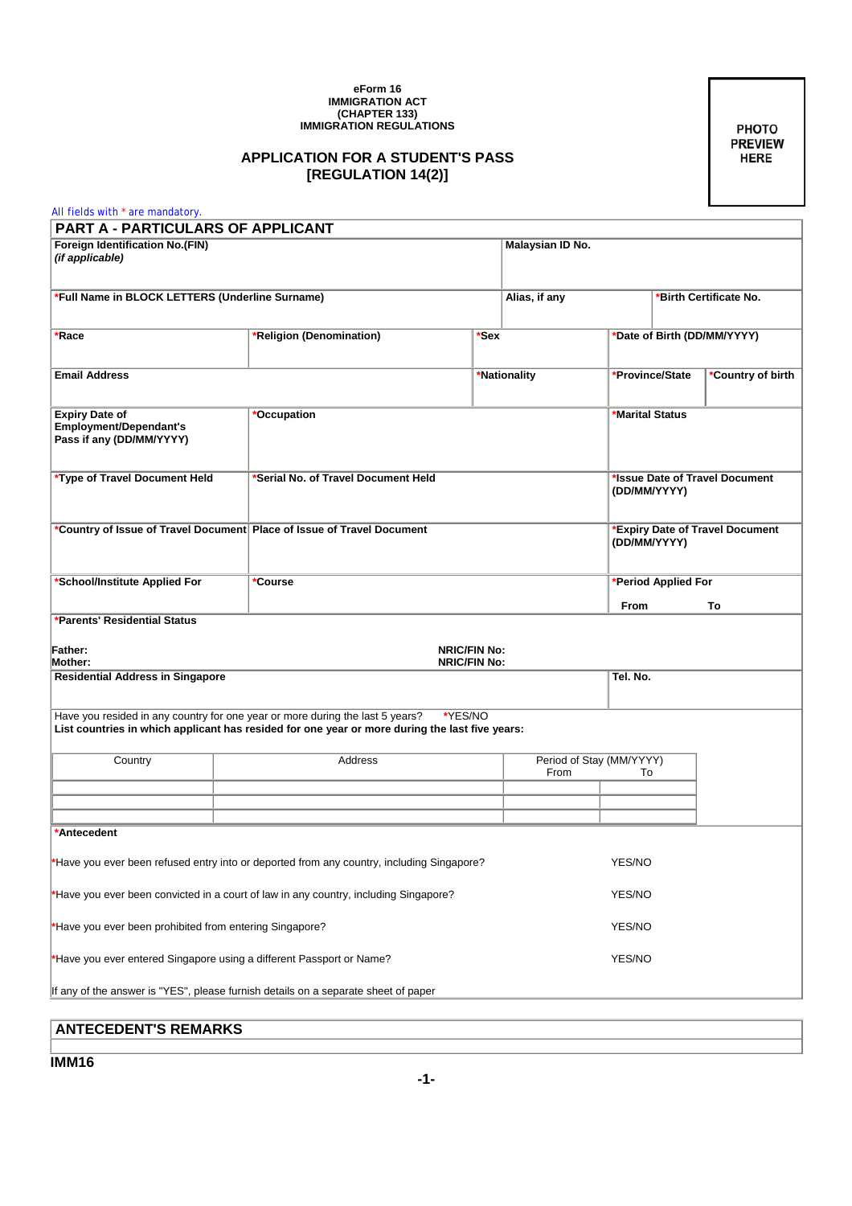## **eForm 16 IMMIGRATION ACT (CHAPTER 133) IMMIGRATION REGULATIONS**

## **APPLICATION FOR A STUDENT'S PASS [REGULATION 14(2)]**

PHOTO **PREVIEW HERE** 

| All fields with * are mandatory.                                                                                                                                                  |                                                                                                                                                                                 |                     |                                        |          |                                                 |                   |  |
|-----------------------------------------------------------------------------------------------------------------------------------------------------------------------------------|---------------------------------------------------------------------------------------------------------------------------------------------------------------------------------|---------------------|----------------------------------------|----------|-------------------------------------------------|-------------------|--|
| PART A - PARTICULARS OF APPLICANT                                                                                                                                                 |                                                                                                                                                                                 |                     |                                        |          |                                                 |                   |  |
| Foreign Identification No.(FIN)<br>(if applicable)                                                                                                                                |                                                                                                                                                                                 |                     | Malaysian ID No.                       |          |                                                 |                   |  |
| *Full Name in BLOCK LETTERS (Underline Surname)                                                                                                                                   |                                                                                                                                                                                 |                     | Alias, if any                          |          | *Birth Certificate No.                          |                   |  |
| *Race                                                                                                                                                                             | Religion (Denomination)                                                                                                                                                         | <b>Sex</b>          | *Date of Birth (DD/MM/YYYY)            |          |                                                 |                   |  |
| <b>Email Address</b>                                                                                                                                                              |                                                                                                                                                                                 |                     | *Nationality                           |          | *Province/State                                 | *Country of birth |  |
| <b>Expiry Date of</b><br><b>Employment/Dependant's</b><br>Pass if any (DD/MM/YYYY)                                                                                                | *Occupation                                                                                                                                                                     |                     |                                        |          | *Marital Status                                 |                   |  |
| *Type of Travel Document Held                                                                                                                                                     | Serial No. of Travel Document Held                                                                                                                                              |                     |                                        |          | *Issue Date of Travel Document<br>(DD/MM/YYYY)  |                   |  |
|                                                                                                                                                                                   | *Country of Issue of Travel Document Place of Issue of Travel Document                                                                                                          |                     |                                        |          | *Expiry Date of Travel Document<br>(DD/MM/YYYY) |                   |  |
| *School/Institute Applied For                                                                                                                                                     | <b>Course</b>                                                                                                                                                                   |                     |                                        | From     | *Period Applied For<br>To                       |                   |  |
| *Parents' Residential Status<br><b>Father:</b>                                                                                                                                    |                                                                                                                                                                                 | <b>NRIC/FIN No:</b> |                                        |          |                                                 |                   |  |
| <b>NRIC/FIN No:</b><br><b>Mother:</b><br><b>Residential Address in Singapore</b>                                                                                                  |                                                                                                                                                                                 |                     |                                        | Tel. No. |                                                 |                   |  |
|                                                                                                                                                                                   | Have you resided in any country for one year or more during the last 5 years?<br>List countries in which applicant has resided for one year or more during the last five years: | *YES/NO             |                                        |          |                                                 |                   |  |
| Country                                                                                                                                                                           | Address                                                                                                                                                                         |                     | Period of Stay (MM/YYYY)<br>From<br>To |          |                                                 |                   |  |
|                                                                                                                                                                                   |                                                                                                                                                                                 |                     |                                        |          |                                                 |                   |  |
| *Antecedent                                                                                                                                                                       |                                                                                                                                                                                 |                     |                                        |          |                                                 |                   |  |
| *Have you ever been refused entry into or deported from any country, including Singapore?<br>*Have you ever been convicted in a court of law in any country, including Singapore? |                                                                                                                                                                                 |                     |                                        |          | YES/NO<br>YES/NO                                |                   |  |
| *Have you ever been prohibited from entering Singapore?                                                                                                                           |                                                                                                                                                                                 |                     |                                        |          | YES/NO                                          |                   |  |
| *Have you ever entered Singapore using a different Passport or Name?                                                                                                              |                                                                                                                                                                                 |                     |                                        |          | YES/NO                                          |                   |  |
|                                                                                                                                                                                   | If any of the answer is "YES", please furnish details on a separate sheet of paper                                                                                              |                     |                                        |          |                                                 |                   |  |

## **ANTECEDENT'S REMARKS**

**IMM16**